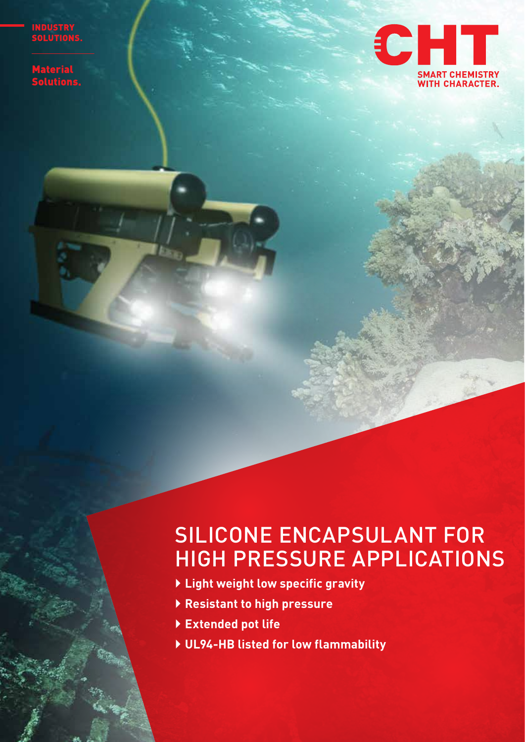NDUSTR

aterial Lutions.

 $\mathcal{L}$  $\mathbb{Z}$ 



# SILICONE ENCAPSULANT FOR HIGH PRESSURE APPLICATIONS

- ` **Light weight low specific gravity**
- ` **Resistant to high pressure**
- ` **Extended pot life**
- ` **UL94-HB listed for low flammability**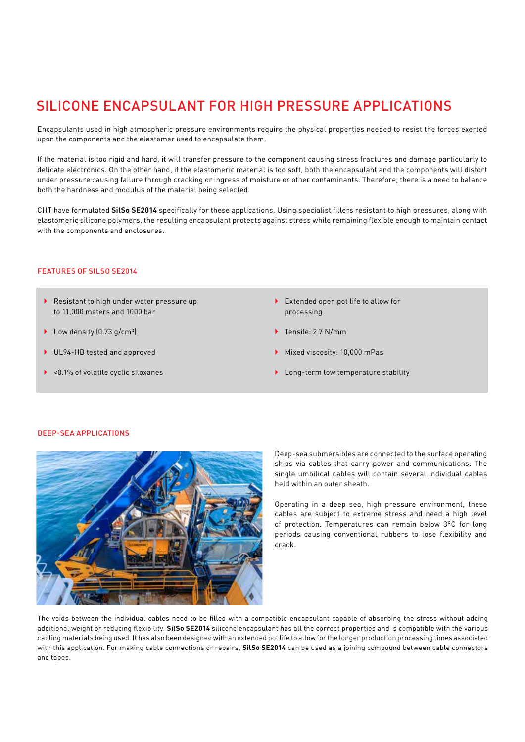## SILICONE ENCAPSULANT FOR HIGH PRESSURE APPLICATIONS

Encapsulants used in high atmospheric pressure environments require the physical properties needed to resist the forces exerted upon the components and the elastomer used to encapsulate them.

If the material is too rigid and hard, it will transfer pressure to the component causing stress fractures and damage particularly to delicate electronics. On the other hand, if the elastomeric material is too soft, both the encapsulant and the components will distort under pressure causing failure through cracking or ingress of moisture or other contaminants. Therefore, there is a need to balance both the hardness and modulus of the material being selected.

CHT have formulated **SilSo SE2014** specifically for these applications. Using specialist fillers resistant to high pressures, along with elastomeric silicone polymers, the resulting encapsulant protects against stress while remaining flexible enough to maintain contact with the components and enclosures.

#### FEATURES OF SILSO SE2014

- Resistant to high under water pressure up to 11,000 meters and 1000 bar
- $\blacktriangleright$  Low density (0.73 g/cm<sup>3</sup>)
- ▶ UL94-HB tested and approved
- $\blacktriangleright$  <0.1% of volatile cyclic siloxanes
- $\blacktriangleright$  Extended open pot life to allow for processing
- ▶ Tensile: 2.7 N/mm
- ` Mixed viscosity: 10,000 mPas
- $\blacktriangleright$  Long-term low temperature stability

#### DEEP-SEA APPLICATIONS



Deep-sea submersibles are connected to the surface operating ships via cables that carry power and communications. The single umbilical cables will contain several individual cables held within an outer sheath.

Operating in a deep sea, high pressure environment, these cables are subject to extreme stress and need a high level of protection. Temperatures can remain below 3°C for long periods causing conventional rubbers to lose flexibility and crack.

The voids between the individual cables need to be filled with a compatible encapsulant capable of absorbing the stress without adding additional weight or reducing flexibility. **SilSo SE2014** silicone encapsulant has all the correct properties and is compatible with the various cabling materials being used. It has also been designed with an extended pot life to allow for the longer production processing times associated with this application. For making cable connections or repairs, **SilSo SE2014** can be used as a joining compound between cable connectors and tapes.